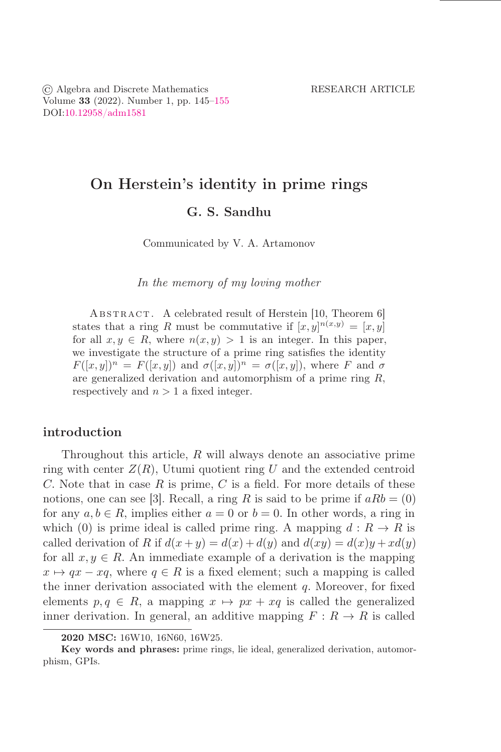© Algebra and Discrete Mathematics RESEARCH ARTICLE Volume 33 (2022). Number 1, pp.  $145-155$ DOI[:10.12958/adm1581](https://doi.org/10.12958/adm1581)

# On Herstein's identity in prime rings G. S. Sandhu

Communicated by V. A. Artamonov

*In the memory of my loving mother*

ABSTRACT. A celebrated result of Herstein [10, Theorem 6] states that a ring R must be commutative if  $[x, y]^{n(x,y)} = [x, y]$ for all  $x, y \in R$ , where  $n(x, y) > 1$  is an integer. In this paper, we investigate the structure of a prime ring satisfies the identity  $F([x, y])^n = F([x, y])$  and  $\sigma([x, y])^n = \sigma([x, y])$ , where F and  $\sigma$ are generalized derivation and automorphism of a prime ring R, respectively and  $n > 1$  a fixed integer.

# introduction

Throughout this article,  $R$  will always denote an associative prime ring with center  $Z(R)$ , Utumi quotient ring U and the extended centroid  $C.$  Note that in case  $R$  is prime,  $C$  is a field. For more details of these notions, one can see [3]. Recall, a ring R is said to be prime if  $aRb = (0)$ for any  $a, b \in R$ , implies either  $a = 0$  or  $b = 0$ . In other words, a ring in which (0) is prime ideal is called prime ring. A mapping  $d: R \to R$  is called derivation of R if  $d(x+y) = d(x) + d(y)$  and  $d(xy) = d(x)y + xd(y)$ for all  $x, y \in R$ . An immediate example of a derivation is the mapping  $x \mapsto qx - xq$ , where  $q \in R$  is a fixed element; such a mapping is called the inner derivation associated with the element  $q$ . Moreover, for fixed elements  $p, q \in R$ , a mapping  $x \mapsto px + xq$  is called the generalized inner derivation. In general, an additive mapping  $F: R \to R$  is called

<sup>2020</sup> MSC: 16W10, 16N60, 16W25.

Key words and phrases: prime rings, lie ideal, generalized derivation, automorphism, GPIs.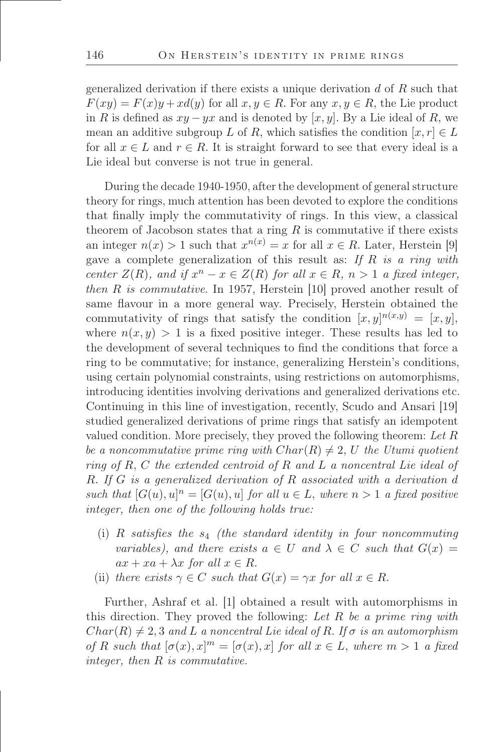generalized derivation if there exists a unique derivation  $d$  of  $R$  such that  $F(xy) = F(x)y + xd(y)$  for all  $x, y \in R$ . For any  $x, y \in R$ , the Lie product in R is defined as  $xy - yx$  and is denoted by [x, y]. By a Lie ideal of R, we mean an additive subgroup L of R, which satisfies the condition  $[x, r] \in L$ for all  $x \in L$  and  $r \in R$ . It is straight forward to see that every ideal is a Lie ideal but converse is not true in general.

During the decade 1940-1950, after the development of general structure theory for rings, much attention has been devoted to explore the conditions that őnally imply the commutativity of rings. In this view, a classical theorem of Jacobson states that a ring  $R$  is commutative if there exists an integer  $n(x) > 1$  such that  $x^{n(x)} = x$  for all  $x \in R$ . Later, Herstein [9] gave a complete generalization of this result as: *If* R *is a ring with center*  $Z(R)$ *, and if*  $x^n - x \in Z(R)$  *for all*  $x \in R$ *, n* > 1 *a fixed integer, then* R *is commutative*. In 1957, Herstein [10] proved another result of same flavour in a more general way. Precisely, Herstein obtained the commutativity of rings that satisfy the condition  $[x, y]^{n(x,y)} = [x, y]$ , where  $n(x, y) > 1$  is a fixed positive integer. These results has led to the development of several techniques to find the conditions that force a ring to be commutative; for instance, generalizing Herstein's conditions, using certain polynomial constraints, using restrictions on automorphisms, introducing identities involving derivations and generalized derivations etc. Continuing in this line of investigation, recently, Scudo and Ansari [19] studied generalized derivations of prime rings that satisfy an idempotent valued condition. More precisely, they proved the following theorem: *Let* R *be a noncommutative prime ring with*  $Char(R) \neq 2$ , U the Utumi quotient *ring of* R, C *the extended centroid of* R *and* L *a noncentral Lie ideal of* R. *If* G *is a generalized derivation of* R *associated with a derivation* d *such that*  $[G(u), u]^n = [G(u), u]$  *for all*  $u \in L$ *, where*  $n > 1$  *a fixed positive integer, then one of the following holds true:*

- (i)  $R$  *satisfies the*  $s_4$  *(the standard identity in four noncommuting variables), and there exists*  $a \in U$  *and*  $\lambda \in C$  *such that*  $G(x) =$  $ax + xa + \lambda x$  *for all*  $x \in R$ .
- (ii) *there exists*  $\gamma \in C$  *such that*  $G(x) = \gamma x$  *for all*  $x \in R$ .

Further, Ashraf et al. [1] obtained a result with automorphisms in this direction. They proved the following: *Let* R *be a prime ring with*  $Char(R) \neq 2, 3$  and L a noncentral Lie ideal of R. If  $\sigma$  is an automorphism *of* R such that  $[\sigma(x), x]^m = [\sigma(x), x]$  for all  $x \in L$ , where  $m > 1$  a fixed *integer, then* R *is commutative.*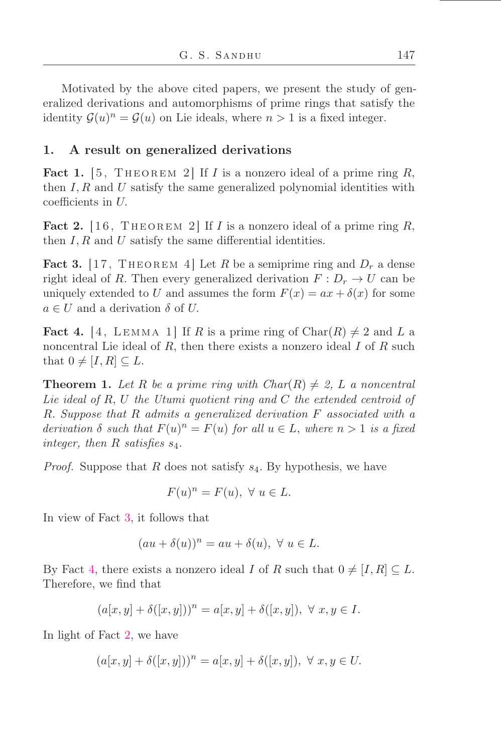Motivated by the above cited papers, we present the study of generalized derivations and automorphisms of prime rings that satisfy the identity  $\mathcal{G}(u)^n = \mathcal{G}(u)$  on Lie ideals, where  $n > 1$  is a fixed integer.

# 1. A result on generalized derivations

<span id="page-2-3"></span>Fact 1.  $[5,$  THEOREM 2 If I is a nonzero ideal of a prime ring R, then  $I, R$  and  $U$  satisfy the same generalized polynomial identities with coefficients in U.

<span id="page-2-2"></span>**Fact 2.** [16, THEOREM 2] If I is a nonzero ideal of a prime ring R, then  $I, R$  and  $U$  satisfy the same differential identities.

<span id="page-2-0"></span>**Fact 3.** [17, THEOREM 4] Let R be a semiprime ring and  $D_r$  a dense right ideal of R. Then every generalized derivation  $F: D_r \to U$  can be uniquely extended to U and assumes the form  $F(x) = ax + \delta(x)$  for some  $a \in U$  and a derivation  $\delta$  of U.

<span id="page-2-1"></span>**Fact 4.** [4, LEMMA 1] If R is a prime ring of Char $(R) \neq 2$  and L a noncentral Lie ideal of  $R$ , then there exists a nonzero ideal  $I$  of  $R$  such that  $0 \neq [I, R] \subseteq L$ .

**Theorem 1.** Let R be a prime ring with  $Char(R) \neq 2$ , L a noncentral *Lie ideal of* R, U *the Utumi quotient ring and* C *the extended centroid of* R. *Suppose that* R *admits a generalized derivation* F *associated with a* derivation  $\delta$  such that  $F(u)^n = F(u)$  for all  $u \in L$ , where  $n > 1$  is a fixed *integer, then* R *satisőes* s4.

*Proof.* Suppose that R does not satisfy  $s_4$ . By hypothesis, we have

$$
F(u)^n = F(u), \ \forall \ u \in L.
$$

In view of Fact [3,](#page-2-0) it follows that

$$
(au + \delta(u))^n = au + \delta(u), \ \forall \ u \in L.
$$

By Fact [4,](#page-2-1) there exists a nonzero ideal I of R such that  $0 \neq [I, R] \subseteq L$ . Therefore, we őnd that

$$
(a[x,y]+\delta([x,y]))^n=a[x,y]+\delta([x,y]),\;\forall\;x,y\in I.
$$

In light of Fact [2,](#page-2-2) we have

$$
(a[x, y] + \delta([x, y]))n = a[x, y] + \delta([x, y]), \ \forall \ x, y \in U.
$$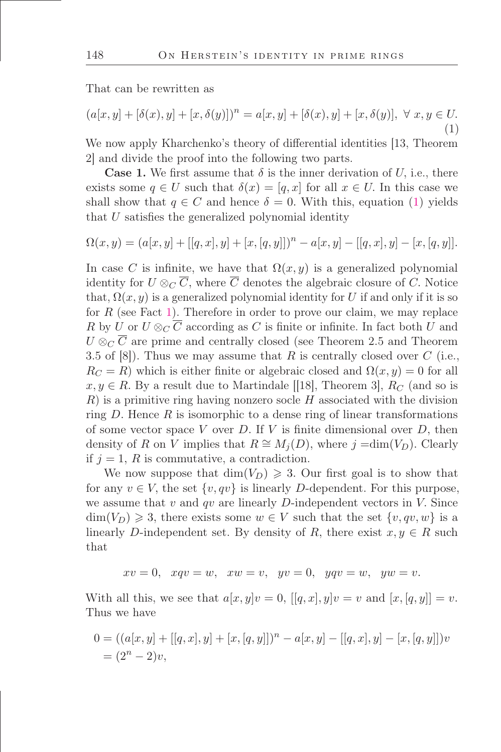That can be rewritten as

<span id="page-3-0"></span>
$$
(a[x, y] + [\delta(x), y] + [x, \delta(y)])^n = a[x, y] + [\delta(x), y] + [x, \delta(y)], \ \forall \ x, y \in U.
$$
\n(1)

We now apply Kharchenko's theory of differential identities [13, Theorem 2] and divide the proof into the following two parts.

**Case 1.** We first assume that  $\delta$  is the inner derivation of U, i.e., there exists some  $q \in U$  such that  $\delta(x) = [q, x]$  for all  $x \in U$ . In this case we shall show that  $q \in C$  and hence  $\delta = 0$ . With this, equation [\(1\)](#page-3-0) yields that  $U$  satisfies the generalized polynomial identity

$$
\Omega(x, y) = (a[x, y] + [[q, x], y] + [x, [q, y]])n - a[x, y] - [[q, x], y] - [x, [q, y]].
$$

In case C is infinite, we have that  $\Omega(x, y)$  is a generalized polynomial identity for  $U \otimes_C \overline{C}$ , where  $\overline{C}$  denotes the algebraic closure of C. Notice that,  $\Omega(x, y)$  is a generalized polynomial identity for U if and only if it is so for  $R$  (see Fact [1\)](#page-2-3). Therefore in order to prove our claim, we may replace R by U or  $U \otimes_C \overline{C}$  according as C is finite or infinite. In fact both U and  $U \otimes_{C} \overline{C}$  are prime and centrally closed (see Theorem 2.5 and Theorem 3.5 of  $[8]$ ). Thus we may assume that R is centrally closed over C (i.e.,  $R_C = R$ ) which is either finite or algebraic closed and  $\Omega(x, y) = 0$  for all  $x, y \in R$ . By a result due to Martindale [[18], Theorem 3],  $R_C$  (and so is  $R$ ) is a primitive ring having nonzero socle H associated with the division ring  $D$ . Hence  $R$  is isomorphic to a dense ring of linear transformations of some vector space V over D. If V is finite dimensional over  $D$ , then density of R on V implies that  $R \cong M_i(D)$ , where j =dim(V<sub>D</sub>). Clearly if  $j = 1, R$  is commutative, a contradiction.

We now suppose that  $\dim(V_D) \geq 3$ . Our first goal is to show that for any  $v \in V$ , the set  $\{v, qv\}$  is linearly D-dependent. For this purpose, we assume that  $v$  and  $qv$  are linearly  $D$ -independent vectors in  $V$ . Since  $\dim(V_D) \geq 3$ , there exists some  $w \in V$  such that the set  $\{v, qv, w\}$  is a linearly D-independent set. By density of R, there exist  $x, y \in R$  such that

$$
xv = 0, \quad xqv = w, \quad xw = v, \quad yv = 0, \quad yqv = w, \quad yw = v.
$$

With all this, we see that  $a[x, y]v = 0$ ,  $[[q, x], y]v = v$  and  $[x, [q, y]] = v$ . Thus we have

$$
0 = ((a[x, y] + [[q, x], y] + [x, [q, y]])n - a[x, y] - [[q, x], y] - [x, [q, y]])n)
$$
  
=  $(2n - 2)v$ ,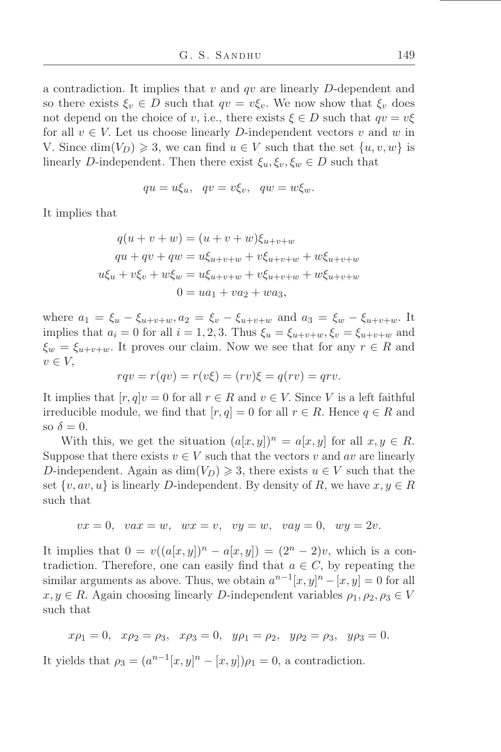a contradiction. It implies that  $v$  and  $qv$  are linearly  $D$ -dependent and so there exists  $\xi_v \in D$  such that  $qv = v\xi_v$ . We now show that  $\xi_v$  does not depend on the choice of v, i.e., there exists  $\xi \in D$  such that  $qv = v\xi$ for all  $v \in V$ . Let us choose linearly D-independent vectors v and w in V. Since  $\dim(V_D) \geq 3$ , we can find  $u \in V$  such that the set  $\{u, v, w\}$  is linearly D-independent. Then there exist  $\xi_u, \xi_v, \xi_w \in D$  such that

$$
qu = u\xi_u, \quad qv = v\xi_v, \quad qw = w\xi_w.
$$

It implies that

$$
q(u + v + w) = (u + v + w)\xi_{u+v+w}
$$
  
\n
$$
qu + qv + qw = u\xi_{u+v+w} + v\xi_{u+v+w} + w\xi_{u+v+w}
$$
  
\n
$$
u\xi_u + v\xi_v + w\xi_w = u\xi_{u+v+w} + v\xi_{u+v+w} + w\xi_{u+v+w}
$$
  
\n
$$
0 = ua_1 + va_2 + wa_3,
$$

where  $a_1 = \xi_u - \xi_{u+v+w}, a_2 = \xi_v - \xi_{u+v+w}$  and  $a_3 = \xi_w - \xi_{u+v+w}$ . It implies that  $a_i = 0$  for all  $i = 1, 2, 3$ . Thus  $\xi_u = \xi_{u+v+w}, \xi_v = \xi_{u+v+w}$  and  $\xi_w = \xi_{u+v+w}$ . It proves our claim. Now we see that for any  $r \in R$  and  $v \in V$ ,

$$
rqv = r(qv) = r(v\xi) = (rv)\xi = q(rv) = qrv.
$$

It implies that  $[r, q]v = 0$  for all  $r \in R$  and  $v \in V$ . Since V is a left faithful irreducible module, we find that  $[r, q] = 0$  for all  $r \in R$ . Hence  $q \in R$  and so  $\delta = 0$ .

With this, we get the situation  $(a[x, y])^n = a[x, y]$  for all  $x, y \in R$ . Suppose that there exists  $v \in V$  such that the vectors v and av are linearly D-independent. Again as  $dim(V_D) \geq 3$ , there exists  $u \in V$  such that the set  $\{v, av, u\}$  is linearly D-independent. By density of R, we have  $x, y \in R$ such that

$$
vx = 0, \quad vax = w, \quad wx = v, \quad vy = w, \quad vay = 0, \quad wy = 2v.
$$

It implies that  $0 = v((a[x, y])^n - a[x, y]) = (2^n - 2)v$ , which is a contradiction. Therefore, one can easily find that  $a \in C$ , by repeating the similar arguments as above. Thus, we obtain  $a^{n-1}[x, y]^n - [x, y] = 0$  for all  $x, y \in R$ . Again choosing linearly D-independent variables  $\rho_1, \rho_2, \rho_3 \in V$ such that

$$
x\rho_1 = 0
$$
,  $x\rho_2 = \rho_3$ ,  $x\rho_3 = 0$ ,  $y\rho_1 = \rho_2$ ,  $y\rho_2 = \rho_3$ ,  $y\rho_3 = 0$ .

It yields that  $\rho_3 = (a^{n-1}[x, y]^n - [x, y])\rho_1 = 0$ , a contradiction.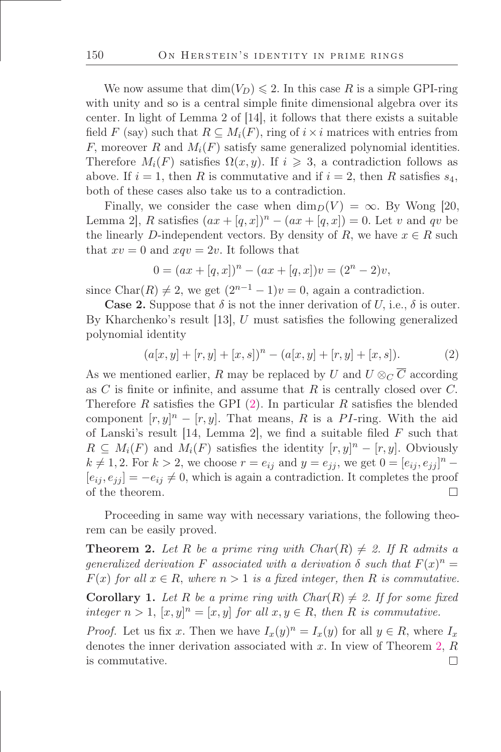We now assume that  $\dim(V_D) \leq 2$ . In this case R is a simple GPI-ring with unity and so is a central simple finite dimensional algebra over its center. In light of Lemma 2 of [14], it follows that there exists a suitable field F (say) such that  $R \subseteq M_i(F)$ , ring of  $i \times i$  matrices with entries from F, moreover R and  $M_i(F)$  satisfy same generalized polynomial identities. Therefore  $M_i(F)$  satisfies  $\Omega(x, y)$ . If  $i \geq 3$ , a contradiction follows as above. If  $i = 1$ , then R is commutative and if  $i = 2$ , then R satisfies  $s_4$ , both of these cases also take us to a contradiction.

Finally, we consider the case when  $\dim_D(V) = \infty$ . By Wong [20, Lemma 2, R satisfies  $(ax + [q, x])^n - (ax + [q, x]) = 0$ . Let v and qv be the linearly D-independent vectors. By density of R, we have  $x \in R$  such that  $xv = 0$  and  $xqv = 2v$ . It follows that

$$
0 = (ax + [q, x])n - (ax + [q, x])v = (2n - 2)v,
$$

since Char(R)  $\neq 2$ , we get  $(2^{n-1}-1)v=0$ , again a contradiction.

**Case 2.** Suppose that  $\delta$  is not the inner derivation of U, i.e.,  $\delta$  is outer. By Kharchenko's result [13],  $U$  must satisfies the following generalized polynomial identity

<span id="page-5-0"></span>
$$
(a[x, y] + [r, y] + [x, s])n - (a[x, y] + [r, y] + [x, s]).
$$
 (2)

As we mentioned earlier, R may be replaced by U and  $U \otimes_C \overline{C}$  according as  $C$  is finite or infinite, and assume that  $R$  is centrally closed over  $C$ . Therefore R satisfies the GPI  $(2)$ . In particular R satisfies the blended component  $[r, y]^n - [r, y]$ . That means, R is a PI-ring. With the aid of Lanski's result [14, Lemma 2], we find a suitable filed  $F$  such that  $R \subseteq M_i(F)$  and  $M_i(F)$  satisfies the identity  $[r, y]^n - [r, y]$ . Obviously  $k \neq 1, 2$ . For  $k > 2$ , we choose  $r = e_{ij}$  and  $y = e_{jj}$ , we get  $0 = [e_{ij}, e_{jj}]^n$  $[e_{ij}, e_{ji}] = -e_{ij} \neq 0$ , which is again a contradiction. It completes the proof of the theorem. П

Proceeding in same way with necessary variations, the following theorem can be easily proved.

<span id="page-5-1"></span>**Theorem 2.** Let R be a prime ring with  $Char(R) \neq 2$ . If R admits a *generalized derivation* F *associated with a derivation*  $\delta$  *such that*  $F(x)^n =$  $F(x)$  *for all*  $x \in R$ , *where*  $n > 1$  *is a fixed integer, then* R *is commutative.* 

<span id="page-5-2"></span>**Corollary 1.** Let R be a prime ring with  $Char(R) \neq 2$ . If for some fixed *integer*  $n > 1$ ,  $[x, y]^n = [x, y]$  *for all*  $x, y \in R$ , *then* R *is commutative.* 

*Proof.* Let us fix x. Then we have  $I_x(y)^n = I_x(y)$  for all  $y \in R$ , where  $I_x$ denotes the inner derivation associated with x. In view of Theorem [2,](#page-5-1)  $R$ is commutative. $\Box$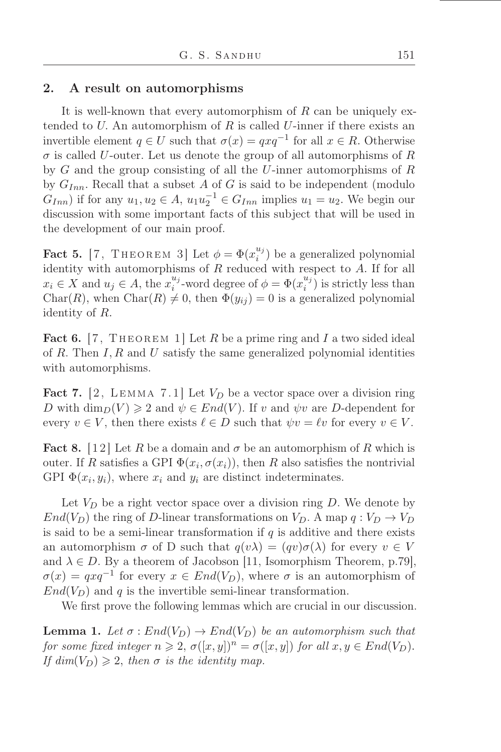### 2. A result on automorphisms

It is well-known that every automorphism of  $R$  can be uniquely extended to  $U$ . An automorphism of  $R$  is called  $U$ -inner if there exists an invertible element  $q \in U$  such that  $\sigma(x) = qxq^{-1}$  for all  $x \in R$ . Otherwise  $\sigma$  is called U-outer. Let us denote the group of all automorphisms of R by G and the group consisting of all the U-inner automorphisms of R by  $G_{Inn}$ . Recall that a subset A of G is said to be independent (modulo  $G_{Inn}$ ) if for any  $u_1, u_2 \in A$ ,  $u_1u_2^{-1} \in G_{Inn}$  implies  $u_1 = u_2$ . We begin our discussion with some important facts of this subject that will be used in the development of our main proof.

<span id="page-6-2"></span>Fact 5. [7, THEOREM 3] Let  $\phi = \Phi(x_i^{u_j})$  $\binom{a}{i}$  be a generalized polynomial identity with automorphisms of  $R$  reduced with respect to  $A$ . If for all  $x_i \in X$  and  $u_j \in A$ , the  $x_i^{u_j}$  $u_j^{u_j}$ -word degree of  $\phi = \Phi(x_i^{u_j})$  $\binom{a_j}{i}$  is strictly less than Char(R), when Char(R)  $\neq$  0, then  $\Phi(y_{ij}) = 0$  is a generalized polynomial identity of R.

<span id="page-6-3"></span>Fact 6. [7, THEOREM 1] Let R be a prime ring and I a two sided ideal of R. Then  $I, R$  and U satisfy the same generalized polynomial identities with automorphisms.

<span id="page-6-0"></span>Fact 7. [2, LEMMA 7.1] Let  $V_D$  be a vector space over a division ring D with  $\dim_D(V) \geq 2$  and  $\psi \in End(V)$ . If v and  $\psi v$  are D-dependent for every  $v \in V$ , then there exists  $\ell \in D$  such that  $\psi v = \ell v$  for every  $v \in V$ .

**Fact 8.** [12] Let R be a domain and  $\sigma$  be an automorphism of R which is outer. If R satisfies a GPI  $\Phi(x_i, \sigma(x_i))$ , then R also satisfies the nontrivial GPI  $\Phi(x_i, y_i)$ , where  $x_i$  and  $y_i$  are distinct indeterminates.

Let  $V_D$  be a right vector space over a division ring D. We denote by  $End(V_D)$  the ring of D-linear transformations on  $V_D$ . A map  $q: V_D \to V_D$ is said to be a semi-linear transformation if  $q$  is additive and there exists an automorphism  $\sigma$  of D such that  $q(v\lambda) = (qv)\sigma(\lambda)$  for every  $v \in V$ and  $\lambda \in D$ . By a theorem of Jacobson [11, Isomorphism Theorem, p.79],  $\sigma(x) = qxq^{-1}$  for every  $x \in End(V_D)$ , where  $\sigma$  is an automorphism of  $End(V_D)$  and q is the invertible semi-linear transformation.

We first prove the following lemmas which are crucial in our discussion.

<span id="page-6-1"></span>**Lemma 1.** Let  $\sigma: End(V_D) \to End(V_D)$  be an automorphism such that *for some fixed integer*  $n \geq 2$ ,  $\sigma([x, y])^n = \sigma([x, y])$  *for all*  $x, y \in End(V_D)$ . *If dim*( $V_D$ )  $\geq$  2, *then*  $\sigma$  *is the identity map.*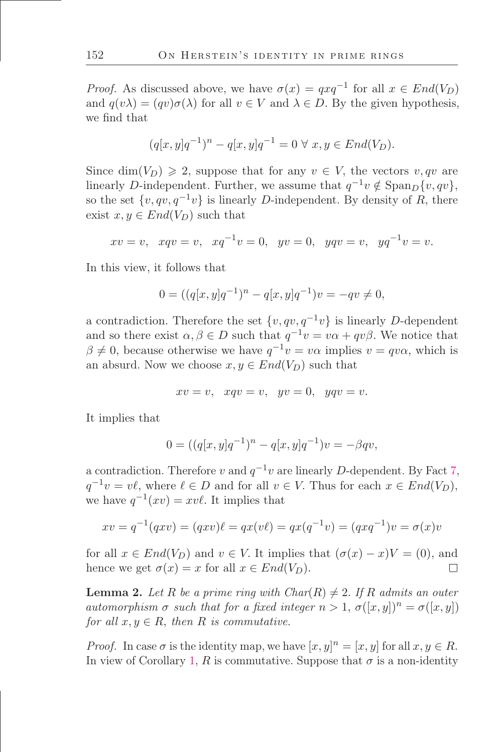*Proof.* As discussed above, we have  $\sigma(x) = qxq^{-1}$  for all  $x \in End(V_D)$ and  $q(v\lambda) = (qv)\sigma(\lambda)$  for all  $v \in V$  and  $\lambda \in D$ . By the given hypothesis, we find that

$$
(q[x, y]q^{-1})^n - q[x, y]q^{-1} = 0 \ \forall \ x, y \in End(V_D).
$$

Since  $\dim(V_D) \geq 2$ , suppose that for any  $v \in V$ , the vectors  $v, qv$  are linearly D-independent. Further, we assume that  $q^{-1}v \notin \text{Span}_D\{v, qv\}$ , so the set  $\{v, qv, q^{-1}v\}$  is linearly D-independent. By density of R, there exist  $x, y \in End(V_D)$  such that

$$
xv = v
$$
,  $xqv = v$ ,  $xq^{-1}v = 0$ ,  $yy = 0$ ,  $yqv = v$ ,  $yq^{-1}v = v$ .

In this view, it follows that

$$
0 = ((q[x, y]q^{-1})^n - q[x, y]q^{-1})v = -qv \neq 0,
$$

a contradiction. Therefore the set  $\{v, qv, q^{-1}v\}$  is linearly D-dependent and so there exist  $\alpha, \beta \in D$  such that  $q^{-1}v = v\alpha + qv\beta$ . We notice that  $\beta \neq 0$ , because otherwise we have  $q^{-1}v = v\alpha$  implies  $v = qv\alpha$ , which is an absurd. Now we choose  $x, y \in End(V_D)$  such that

$$
xv = v, \quad xqv = v, \quad yv = 0, \quad yqv = v.
$$

It implies that

$$
0 = ((q[x, y]q^{-1})^n - q[x, y]q^{-1})v = -\beta qv,
$$

a contradiction. Therefore v and  $q^{-1}v$  are linearly D-dependent. By Fact [7,](#page-6-0)  $q^{-1}v = v\ell$ , where  $\ell \in D$  and for all  $v \in V$ . Thus for each  $x \in End(V_D)$ , we have  $q^{-1}(xv) = xv\ell$ . It implies that

$$
xv = q^{-1}(qxv) = (qxv)\ell = qx(v\ell) = qx(q^{-1}v) = (qxq^{-1})v = \sigma(x)v
$$

for all  $x \in End(V_D)$  and  $v \in V$ . It implies that  $(\sigma(x) - x)V = (0)$ , and hence we get  $\sigma(x) = x$  for all  $x \in End(V_D)$ . П.

<span id="page-7-0"></span>**Lemma 2.** Let R be a prime ring with  $Char(R) \neq 2$ . If R admits an outer *automorphism*  $\sigma$  *such that for a fixed integer*  $n > 1$ ,  $\sigma([x, y])^n = \sigma([x, y])$ *for all*  $x, y \in R$ *, then*  $R$  *is commutative.* 

*Proof.* In case  $\sigma$  is the identity map, we have  $[x, y]^n = [x, y]$  for all  $x, y \in R$ . In view of Corollary [1,](#page-5-2) R is commutative. Suppose that  $\sigma$  is a non-identity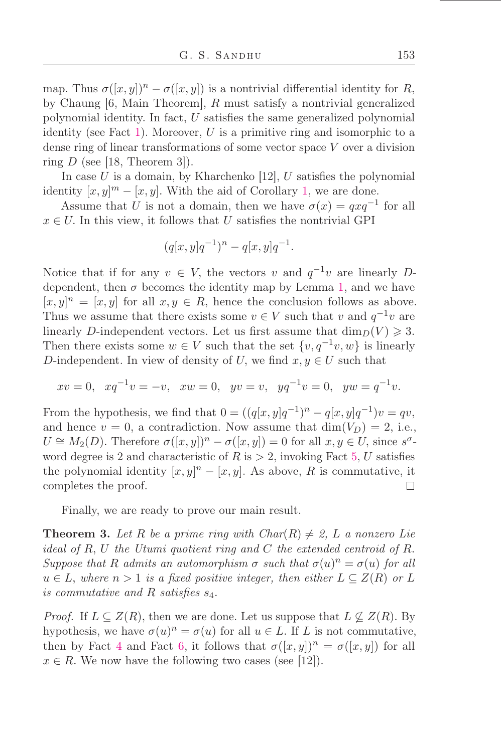map. Thus  $\sigma([x, y])^n - \sigma([x, y])$  is a nontrivial differential identity for R, by Chaung [6, Main Theorem], R must satisfy a nontrivial generalized polynomial identity. In fact,  $U$  satisfies the same generalized polynomial identity (see Fact [1\)](#page-2-3). Moreover,  $U$  is a primitive ring and isomorphic to a dense ring of linear transformations of some vector space V over a division ring  $D$  (see [18, Theorem 3]).

In case U is a domain, by Kharchenko [12], U satisfies the polynomial identity  $[x, y]^m - [x, y]$ . With the aid of Corollary [1,](#page-5-2) we are done.

Assume that U is not a domain, then we have  $\sigma(x) = qxq^{-1}$  for all  $x \in U$ . In this view, it follows that U satisfies the nontrivial GPI

$$
(q[x,y]q^{-1})^n - q[x,y]q^{-1}.
$$

Notice that if for any  $v \in V$ , the vectors v and  $q^{-1}v$  are linearly Ddependent, then  $\sigma$  becomes the identity map by Lemma [1,](#page-6-1) and we have  $[x, y]^n = [x, y]$  for all  $x, y \in R$ , hence the conclusion follows as above. Thus we assume that there exists some  $v \in V$  such that v and  $q^{-1}v$  are linearly D-independent vectors. Let us first assume that  $\dim_D(V) \geq 3$ . Then there exists some  $w \in V$  such that the set  $\{v, q^{-1}v, w\}$  is linearly D-independent. In view of density of U, we find  $x, y \in U$  such that

$$
xv = 0
$$
,  $xq^{-1}v = -v$ ,  $xw = 0$ ,  $yy = v$ ,  $yd^{-1}v = 0$ ,  $yw = q^{-1}v$ .

From the hypothesis, we find that  $0 = ((q[x, y]q^{-1})^n - q[x, y]q^{-1})v = qv$ , and hence  $v = 0$ , a contradiction. Now assume that  $\dim(V_D) = 2$ , i.e.,  $U \cong M_2(D)$ . Therefore  $\sigma([x, y])^n - \sigma([x, y]) = 0$  for all  $x, y \in U$ , since  $s^{\sigma}$ word degree is 2 and characteristic of R is  $> 2$ , invoking Fact [5,](#page-6-2) U satisfies the polynomial identity  $[x, y]^n - [x, y]$ . As above, R is commutative, it completes the proof.  $\Box$ 

Finally, we are ready to prove our main result.

**Theorem 3.** Let R be a prime ring with  $Char(R) \neq 2$ , L a nonzero Lie *ideal of* R, U *the Utumi quotient ring and* C *the extended centroid of* R. *Suppose that* R *admits an automorphism*  $\sigma$  *such that*  $\sigma(u)^n = \sigma(u)$  *for all*  $u \in L$ , where  $n > 1$  *is a fixed positive integer, then either*  $L \subseteq Z(R)$  *or* L *is commutative and* R *satisőes* s4.

*Proof.* If  $L \subseteq Z(R)$ , then we are done. Let us suppose that  $L \not\subseteq Z(R)$ . By hypothesis, we have  $\sigma(u)^n = \sigma(u)$  for all  $u \in L$ . If L is not commutative, then by Fact [4](#page-2-1) and Fact [6,](#page-6-3) it follows that  $\sigma([x,y])^n = \sigma([x,y])$  for all  $x \in R$ . We now have the following two cases (see [12]).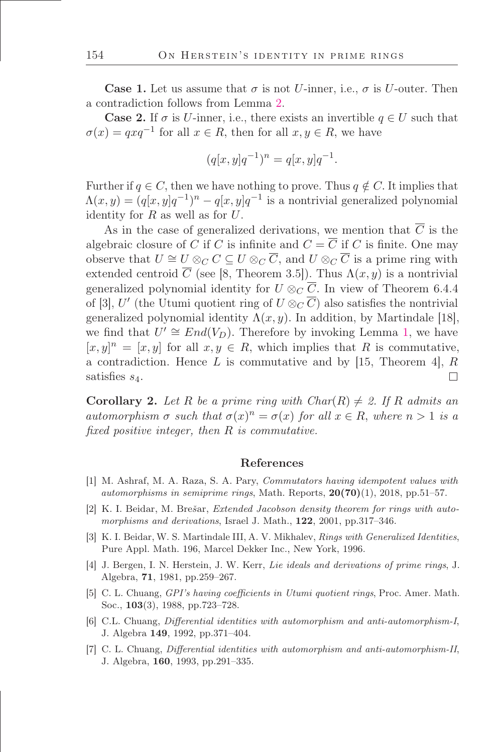**Case 1.** Let us assume that  $\sigma$  is not U-inner, i.e.,  $\sigma$  is U-outer. Then a contradiction follows from Lemma [2.](#page-7-0)

**Case 2.** If  $\sigma$  is U-inner, i.e., there exists an invertible  $q \in U$  such that  $\sigma(x) = qxq^{-1}$  for all  $x \in R$ , then for all  $x, y \in R$ , we have

$$
(q[x, y]q^{-1})^n = q[x, y]q^{-1}.
$$

Further if  $q \in C$ , then we have nothing to prove. Thus  $q \notin C$ . It implies that  $\Lambda(x,y) = (q[x,y]q^{-1})^n - q[x,y]q^{-1}$  is a nontrivial generalized polynomial identity for  $R$  as well as for  $U$ .

As in the case of generalized derivations, we mention that  $\overline{C}$  is the algebraic closure of C if C is infinite and  $C = \overline{C}$  if C is finite. One may observe that  $U \cong U \otimes_C C \subseteq U \otimes_C \overline{C}$ , and  $U \otimes_C \overline{C}$  is a prime ring with extended centroid  $\overline{C}$  (see [8, Theorem 3.5]). Thus  $\Lambda(x, y)$  is a nontrivial generalized polynomial identity for  $U \otimes_C \overline{C}$ . In view of Theorem 6.4.4 of [3], U' (the Utumi quotient ring of  $U \otimes_{\mathbb{C}} \overline{\mathbb{C}}$ ) also satisfies the nontrivial generalized polynomial identity  $\Lambda(x, y)$ . In addition, by Martindale [18], we find that  $U' \cong End(V_D)$ . Therefore by invoking Lemma [1,](#page-6-1) we have  $[x, y]^n = [x, y]$  for all  $x, y \in R$ , which implies that R is commutative, a contradiction. Hence  $L$  is commutative and by [15, Theorem 4],  $R$  $\Box$ satisfies  $s_4$ .

**Corollary 2.** Let R be a prime ring with  $Char(R) \neq 2$ . If R admits an *automorphism*  $\sigma$  *such that*  $\sigma(x)^n = \sigma(x)$  *for all*  $x \in R$ *, where*  $n > 1$  *is a őxed positive integer, then* R *is commutative.*

#### References

- [1] M. Ashraf, M. A. Raza, S. A. Pary, Commutators having idempotent values with automorphisms in semiprime rings, Math. Reports,  $20(70)(1)$ , 2018, pp.51–57.
- [2] K. I. Beidar, M. Brešar, *Extended Jacobson density theorem for rings with auto*morphisms and derivations, Israel J. Math.,  $122$ ,  $2001$ , pp.317–346.
- [3] K. I. Beidar, W. S. Martindale III, A. V. Mikhalev, Rings with Generalized Identities, Pure Appl. Math. 196, Marcel Dekker Inc., New York, 1996.
- [4] J. Bergen, I. N. Herstein, J. W. Kerr, Lie ideals and derivations of prime rings, J. Algebra, 71, 1981, pp.259-267.
- [5] C. L. Chuang, GPI's having coefficients in Utumi quotient rings, Proc. Amer. Math. Soc.,  $103(3)$ , 1988, pp.723–728.
- [6] C.L. Chuang, Differential identities with automorphism and anti-automorphism-I, J. Algebra 149, 1992, pp.371–404.
- [7] C. L. Chuang, Differential identities with automorphism and anti-automorphism-II, J. Algebra, 160, 1993, pp. 291–335.